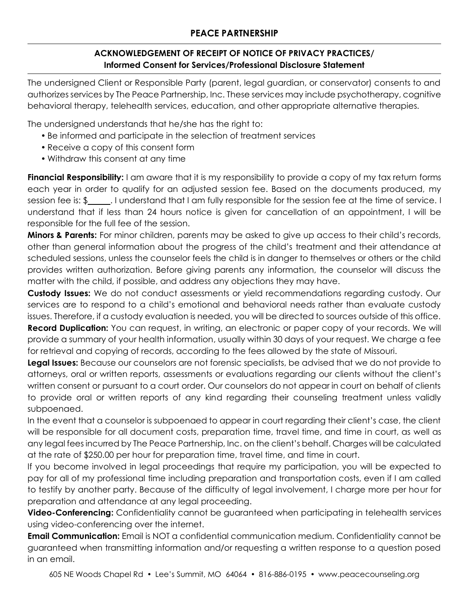## **ACKNOWLEDGEMENT OF RECEIPT OF NOTICE OF PRIVACY PRACTICES/ Informed Consent for Services/Professional Disclosure Statement**

The undersigned Client or Responsible Party (parent, legal guardian, or conservator) consents to and authorizes services by The Peace Partnership, Inc. These services may include psychotherapy, cognitive behavioral therapy, telehealth services, education, and other appropriate alternative therapies.

The undersigned understands that he/she has the right to:

- Be informed and participate in the selection of treatment services
- Receive a copy of this consent form
- Withdraw this consent at any time

**Financial Responsibility:** I am aware that it is my responsibility to provide a copy of my tax return forms each year in order to qualify for an adjusted session fee. Based on the documents produced, my session fee is: \$ . I understand that I am fully responsible for the session fee at the time of service. I understand that if less than 24 hours notice is given for cancellation of an appointment, I will be responsible for the full fee of the session.

**Minors & Parents:** For minor children, parents may be asked to give up access to their child's records, other than general information about the progress of the child's treatment and their attendance at scheduled sessions, unless the counselor feels the child is in danger to themselves or others or the child provides written authorization. Before giving parents any information, the counselor will discuss the matter with the child, if possible, and address any objections they may have.

**Custody Issues:** We do not conduct assessments or yield recommendations regarding custody. Our services are to respond to a child's emotional and behavioral needs rather than evaluate custody issues. Therefore, if a custody evaluation is needed, you will be directed to sources outside of this office. **Record Duplication:** You can request, in writing, an electronic or paper copy of your records. We will provide a summary of your health information, usually within 30 days of your request. We charge a fee for retrieval and copying of records, according to the fees allowed by the state of Missouri.

**Legal Issues:** Because our counselors are not forensic specialists, be advised that we do not provide to attorneys, oral or written reports, assessments or evaluations regarding our clients without the client's written consent or pursuant to a court order. Our counselors do not appear in court on behalf of clients to provide oral or written reports of any kind regarding their counseling treatment unless validly subpoenaed.

In the event that a counselor is subpoenaed to appear in court regarding their client's case, the client will be responsible for all document costs, preparation time, travel time, and time in court, as well as any legal fees incurred by The Peace Partnership, Inc. on the client's behalf. Charges will be calculated at the rate of \$250.00 per hour for preparation time, travel time, and time in court.

If you become involved in legal proceedings that require my participation, you will be expected to pay for all of my professional time including preparation and transportation costs, even if I am called to testify by another party. Because of the difficulty of legal involvement, I charge more per hour for preparation and attendance at any legal proceeding.

**Video-Conferencing:** Confidentiality cannot be guaranteed when participating in telehealth services using video-conferencing over the internet.

**Email Communication:** Email is NOT a confidential communication medium. Confidentiality cannot be guaranteed when transmitting information and/or requesting a written response to a question posed in an email.

605 NE Woods Chapel Rd • Lee's Summit, MO 64064 • 816-886-0195 • www.peacecounseling.org